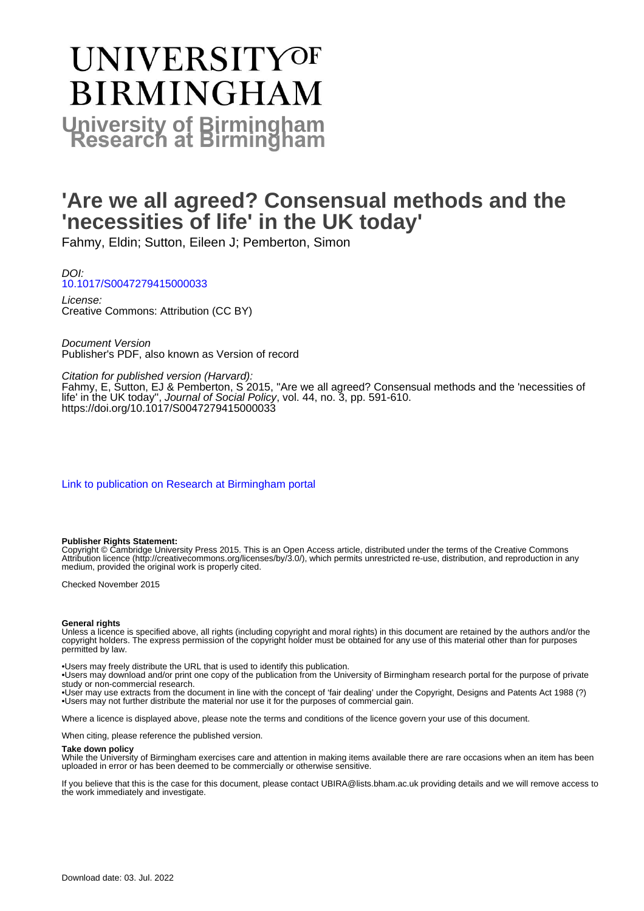# UNIVERSITYOF **BIRMINGHAM University of Birmingham**

# **'Are we all agreed? Consensual methods and the 'necessities of life' in the UK today'**

Fahmy, Eldin; Sutton, Eileen J; Pemberton, Simon

DOI: [10.1017/S0047279415000033](https://doi.org/10.1017/S0047279415000033)

License: Creative Commons: Attribution (CC BY)

Document Version Publisher's PDF, also known as Version of record

Citation for published version (Harvard):

Fahmy, E, Sutton, EJ & Pemberton, S 2015, ''Are we all agreed? Consensual methods and the 'necessities of life' in the UK today", Journal of Social Policy, vol. 44, no. 3, pp. 591-610. <https://doi.org/10.1017/S0047279415000033>

[Link to publication on Research at Birmingham portal](https://birmingham.elsevierpure.com/en/publications/821a3fb1-6b09-4cef-ba54-fdd502d46906)

#### **Publisher Rights Statement:**

Copyright © Cambridge University Press 2015. This is an Open Access article, distributed under the terms of the Creative Commons Attribution licence (http://creativecommons.org/licenses/by/3.0/), which permits unrestricted re-use, distribution, and reproduction in any medium, provided the original work is properly cited.

Checked November 2015

#### **General rights**

Unless a licence is specified above, all rights (including copyright and moral rights) in this document are retained by the authors and/or the copyright holders. The express permission of the copyright holder must be obtained for any use of this material other than for purposes permitted by law.

• Users may freely distribute the URL that is used to identify this publication.

• Users may download and/or print one copy of the publication from the University of Birmingham research portal for the purpose of private study or non-commercial research.

• User may use extracts from the document in line with the concept of 'fair dealing' under the Copyright, Designs and Patents Act 1988 (?) • Users may not further distribute the material nor use it for the purposes of commercial gain.

Where a licence is displayed above, please note the terms and conditions of the licence govern your use of this document.

When citing, please reference the published version.

#### **Take down policy**

While the University of Birmingham exercises care and attention in making items available there are rare occasions when an item has been uploaded in error or has been deemed to be commercially or otherwise sensitive.

If you believe that this is the case for this document, please contact UBIRA@lists.bham.ac.uk providing details and we will remove access to the work immediately and investigate.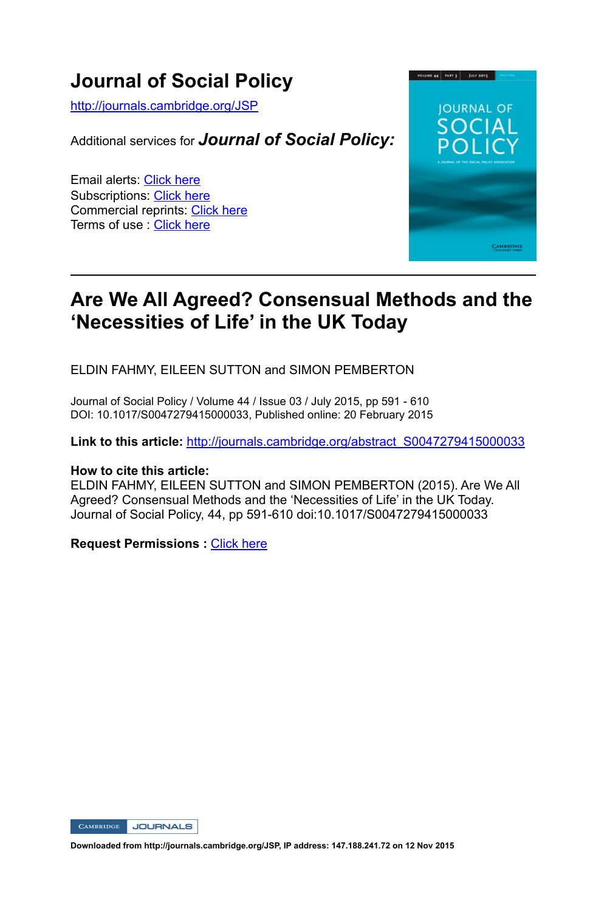### **Journal of Social Policy**

http://journals.cambridge.org/JSP

Additional services for *Journal of Social Policy:*

Email alerts: Click here Subscriptions: Click here Commercial reprints: Click here Terms of use : Click here



### **Are We All Agreed? Consensual Methods and the 'Necessities of Life' in the UK Today**

ELDIN FAHMY, EILEEN SUTTON and SIMON PEMBERTON

Journal of Social Policy / Volume 44 / Issue 03 / July 2015, pp 591 - 610 DOI: 10.1017/S0047279415000033, Published online: 20 February 2015

**Link to this article:** http://journals.cambridge.org/abstract\_S0047279415000033

#### **How to cite this article:**

ELDIN FAHMY, EILEEN SUTTON and SIMON PEMBERTON (2015). Are We All Agreed? Consensual Methods and the 'Necessities of Life' in the UK Today. Journal of Social Policy, 44, pp 591-610 doi:10.1017/S0047279415000033

**Request Permissions :** Click here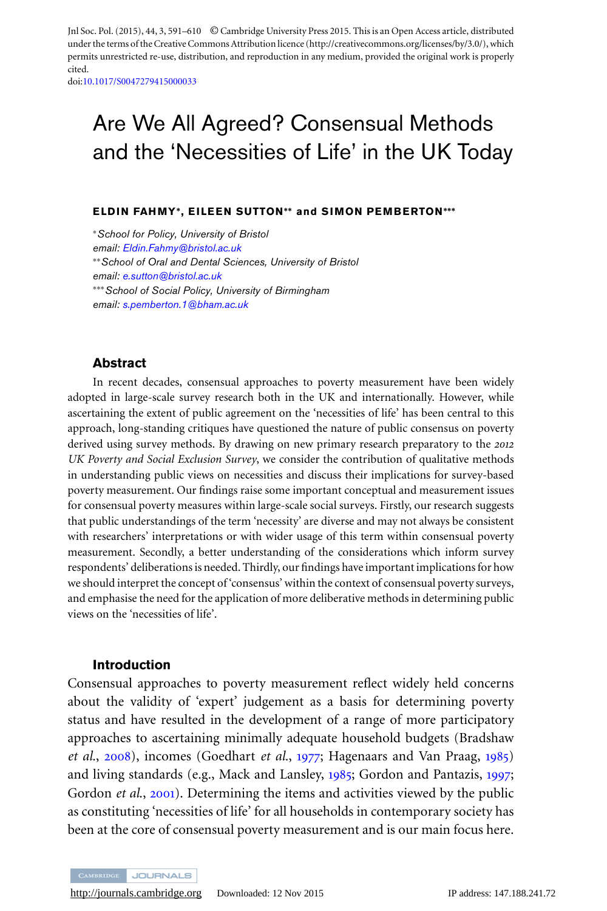Jnl Soc. Pol. (2015), 44, 3, 591–610 © Cambridge University Press 2015. This is an Open Access article, distributed under the terms of the Creative Commons Attribution licence (http://creativecommons.org/licenses/by/3.0/), which permits unrestricted re-use, distribution, and reproduction in any medium, provided the original work is properly cited.

doi[:10.1017/S0047279415000033](http://dx.doi.org/10.1017/S0047279415000033)

## Are We All Agreed? Consensual Methods and the 'Necessities of Life' in the UK Today

#### **ELD IN FAHMY∗, EILEEN SUTTON∗∗ and SIMON PEMBERTON∗∗∗**

<sup>∗</sup>*School for Policy, University of Bristol email: [Eldin.Fahmy@bristol.ac.uk](mailto:Eldin.Fahmy@bristol.ac.uk)* ∗∗*School of Oral and Dental Sciences, University of Bristol email: [e.sutton@bristol.ac.uk](mailto:e.sutton@bristol.ac.uk)* ∗∗∗*School of Social Policy, University of Birmingham email: [s.pemberton.1@bham.ac.uk](mailto:s.pemberton.1@bham.ac.uk)*

#### **Abstract**

In recent decades, consensual approaches to poverty measurement have been widely adopted in large-scale survey research both in the UK and internationally. However, while ascertaining the extent of public agreement on the 'necessities of life' has been central to this approach, long-standing critiques have questioned the nature of public consensus on poverty derived using survey methods. By drawing on new primary research preparatory to the *2012 UK Poverty and Social Exclusion Survey*, we consider the contribution of qualitative methods in understanding public views on necessities and discuss their implications for survey-based poverty measurement. Our findings raise some important conceptual and measurement issues for consensual poverty measures within large-scale social surveys. Firstly, our research suggests that public understandings of the term 'necessity' are diverse and may not always be consistent with researchers' interpretations or with wider usage of this term within consensual poverty measurement. Secondly, a better understanding of the considerations which inform survey respondents' deliberations is needed. Thirdly, our findings have important implications for how we should interpret the concept of 'consensus' within the context of consensual poverty surveys, and emphasise the need for the application of more deliberative methods in determining public views on the 'necessities of life'.

#### **Introduction**

Consensual approaches to poverty measurement reflect widely held concerns about the validity of 'expert' judgement as a basis for determining poverty status and have resulted in the development of a range of more participatory approaches to ascertaining minimally adequate household budgets (Bradshaw *et al*., [2008](#page-19-0)), incomes (Goedhart *et al*., [1977](#page-20-0); Hagenaars and Van Praag, [1985](#page-20-0)) and living standards (e.g., Mack and Lansley, [1985](#page-20-0); Gordon and Pantazis, [1997](#page-20-0); Gordon *et al.*, [2001](#page-20-0)). Determining the items and activities viewed by the public as constituting 'necessities of life' for all households in contemporary society has been at the core of consensual poverty measurement and is our main focus here.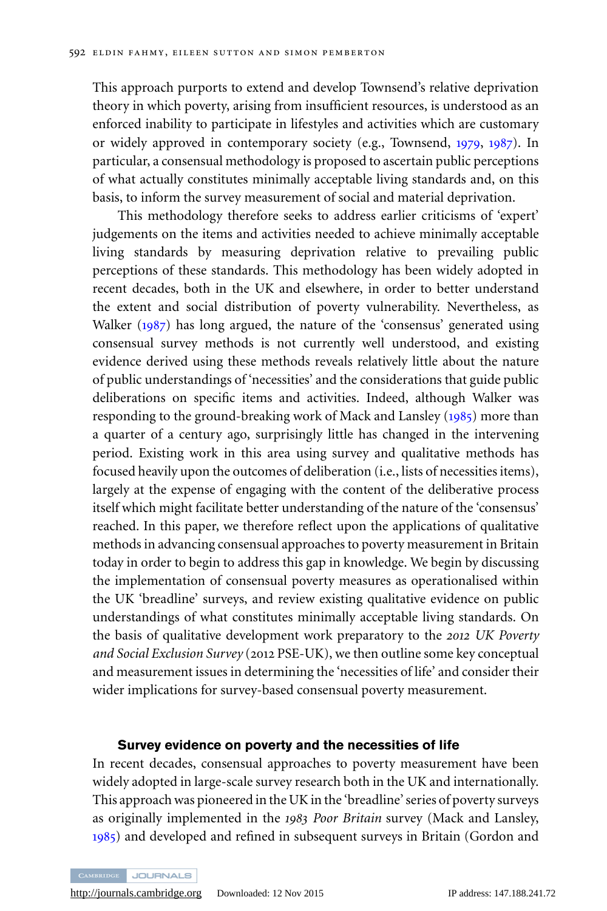This approach purports to extend and develop Townsend's relative deprivation theory in which poverty, arising from insufficient resources, is understood as an enforced inability to participate in lifestyles and activities which are customary or widely approved in contemporary society (e.g., Townsend, [1979](#page-21-0), [1987](#page-21-0)). In particular, a consensual methodology is proposed to ascertain public perceptions of what actually constitutes minimally acceptable living standards and, on this basis, to inform the survey measurement of social and material deprivation.

This methodology therefore seeks to address earlier criticisms of 'expert' judgements on the items and activities needed to achieve minimally acceptable living standards by measuring deprivation relative to prevailing public perceptions of these standards. This methodology has been widely adopted in recent decades, both in the UK and elsewhere, in order to better understand the extent and social distribution of poverty vulnerability. Nevertheless, as Walker ([1987](#page-21-0)) has long argued, the nature of the 'consensus' generated using consensual survey methods is not currently well understood, and existing evidence derived using these methods reveals relatively little about the nature of public understandings of 'necessities' and the considerations that guide public deliberations on specific items and activities. Indeed, although Walker was responding to the ground-breaking work of Mack and Lansley ([1985](#page-20-0)) more than a quarter of a century ago, surprisingly little has changed in the intervening period. Existing work in this area using survey and qualitative methods has focused heavily upon the outcomes of deliberation (i.e., lists of necessities items), largely at the expense of engaging with the content of the deliberative process itself which might facilitate better understanding of the nature of the 'consensus' reached. In this paper, we therefore reflect upon the applications of qualitative methods in advancing consensual approaches to poverty measurement in Britain today in order to begin to address this gap in knowledge. We begin by discussing the implementation of consensual poverty measures as operationalised within the UK 'breadline' surveys, and review existing qualitative evidence on public understandings of what constitutes minimally acceptable living standards. On the basis of qualitative development work preparatory to the *2012 UK Poverty and Social Exclusion Survey* (2012 PSE-UK), we then outline some key conceptual and measurement issues in determining the 'necessities of life' and consider their wider implications for survey-based consensual poverty measurement.

#### **Survey evidence on poverty and the necessities of life**

In recent decades, consensual approaches to poverty measurement have been widely adopted in large-scale survey research both in the UK and internationally. This approach was pioneered in the UK in the 'breadline' series of poverty surveys as originally implemented in the *1983 Poor Britain* survey (Mack and Lansley, [1985](#page-20-0)) and developed and refined in subsequent surveys in Britain (Gordon and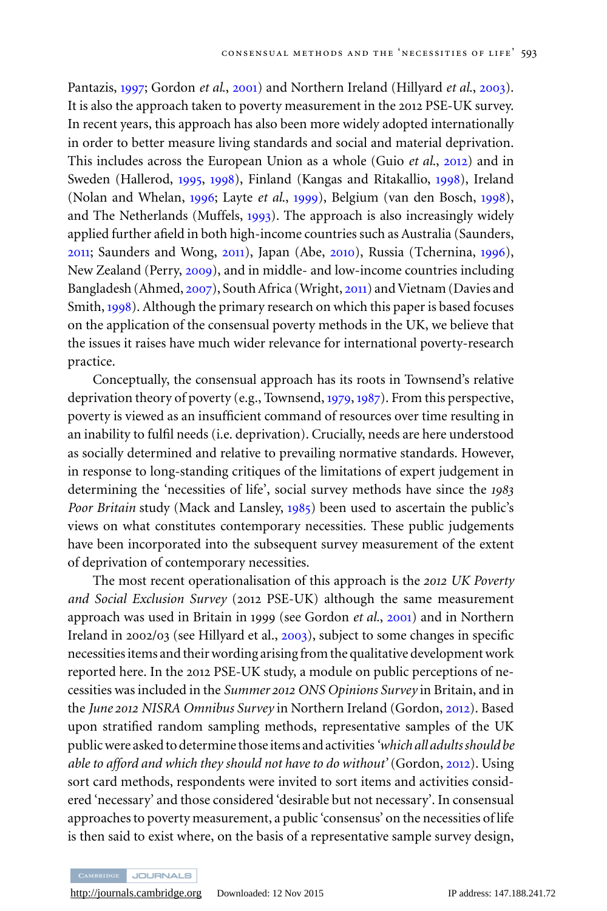Pantazis, [1997](#page-20-0); Gordon *et al*., [2001](#page-20-0)) and Northern Ireland (Hillyard *et al*., [2003](#page-20-0)). It is also the approach taken to poverty measurement in the 2012 PSE-UK survey. In recent years, this approach has also been more widely adopted internationally in order to better measure living standards and social and material deprivation. This includes across the European Union as a whole (Guio *et al*., [2012](#page-20-0)) and in Sweden (Hallerod, [1995](#page-20-0), [1998](#page-20-0)), Finland (Kangas and Ritakallio, [1998](#page-20-0)), Ireland (Nolan and Whelan, [1996](#page-21-0); Layte *et al*., [1999](#page-20-0)), Belgium (van den Bosch, [1998](#page-21-0)), and The Netherlands (Muffels, [1993](#page-21-0)). The approach is also increasingly widely applied further afield in both high-income countries such as Australia (Saunders, [2011](#page-21-0); Saunders and Wong, [2011](#page-21-0)), Japan (Abe, [2010](#page-19-0)), Russia (Tchernina, [1996](#page-21-0)), New Zealand (Perry, [2009](#page-21-0)), and in middle- and low-income countries including Bangladesh (Ahmed, [2007](#page-19-0)), South Africa (Wright, [2011](#page-21-0)) and Vietnam (Davies and Smith, [1998](#page-19-0)). Although the primary research on which this paper is based focuses on the application of the consensual poverty methods in the UK, we believe that the issues it raises have much wider relevance for international poverty-research practice.

Conceptually, the consensual approach has its roots in Townsend's relative deprivation theory of poverty (e.g., Townsend, [1979](#page-21-0), [1987](#page-21-0)). From this perspective, poverty is viewed as an insufficient command of resources over time resulting in an inability to fulfil needs (i.e. deprivation). Crucially, needs are here understood as socially determined and relative to prevailing normative standards. However, in response to long-standing critiques of the limitations of expert judgement in determining the 'necessities of life', social survey methods have since the *1983 Poor Britain* study (Mack and Lansley, [1985](#page-20-0)) been used to ascertain the public's views on what constitutes contemporary necessities. These public judgements have been incorporated into the subsequent survey measurement of the extent of deprivation of contemporary necessities.

The most recent operationalisation of this approach is the *2012 UK Poverty and Social Exclusion Survey* (2012 PSE-UK) although the same measurement approach was used in Britain in 1999 (see Gordon *et al.*, [2001](#page-20-0)) and in Northern Ireland in 2002/03 (see Hillyard et al., [2003](#page-20-0)), subject to some changes in specific necessities items and their wording arising from the qualitative development work reported here. In the 2012 PSE-UK study, a module on public perceptions of necessities was included in the *Summer 2012 ONS Opinions Survey* in Britain, and in the *June 2012 NISRA Omnibus Survey* in Northern Ireland (Gordon, [2012](#page-20-0)). Based upon stratified random sampling methods, representative samples of the UK public were asked to determine those items and activities*'which all adults should be able to afford and which they should not have to do without'* (Gordon, [2012](#page-20-0)). Using sort card methods, respondents were invited to sort items and activities considered 'necessary' and those considered 'desirable but not necessary'. In consensual approaches to poverty measurement, a public 'consensus' on the necessities of life is then said to exist where, on the basis of a representative sample survey design,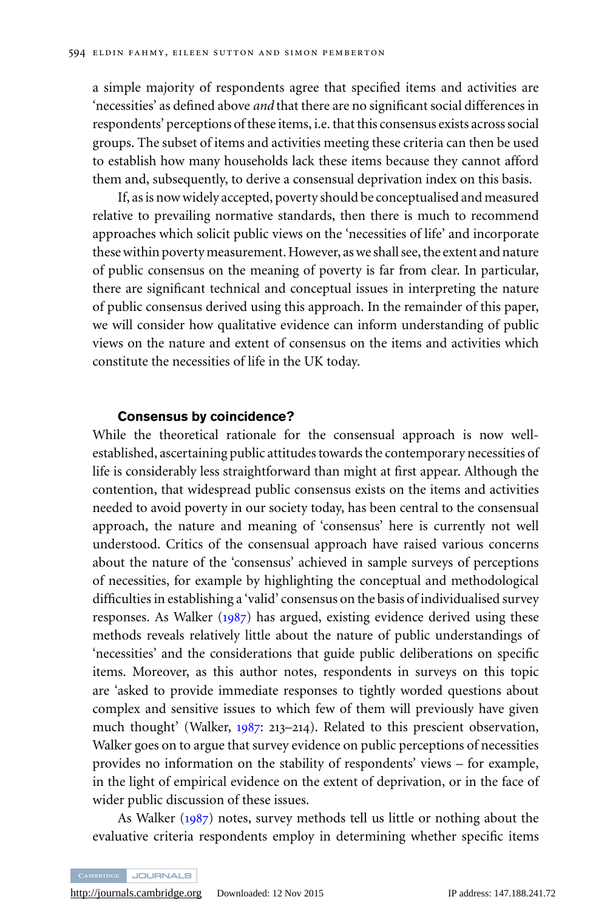a simple majority of respondents agree that specified items and activities are 'necessities' as defined above *and* that there are no significant social differences in respondents' perceptions of these items, i.e. that this consensus exists across social groups. The subset of items and activities meeting these criteria can then be used to establish how many households lack these items because they cannot afford them and, subsequently, to derive a consensual deprivation index on this basis.

If, as is now widely accepted, poverty should be conceptualised and measured relative to prevailing normative standards, then there is much to recommend approaches which solicit public views on the 'necessities of life' and incorporate these within poverty measurement. However, as we shall see, the extent and nature of public consensus on the meaning of poverty is far from clear. In particular, there are significant technical and conceptual issues in interpreting the nature of public consensus derived using this approach. In the remainder of this paper, we will consider how qualitative evidence can inform understanding of public views on the nature and extent of consensus on the items and activities which constitute the necessities of life in the UK today.

#### **Consensus by coincidence?**

While the theoretical rationale for the consensual approach is now wellestablished, ascertaining public attitudes towards the contemporary necessities of life is considerably less straightforward than might at first appear. Although the contention, that widespread public consensus exists on the items and activities needed to avoid poverty in our society today, has been central to the consensual approach, the nature and meaning of 'consensus' here is currently not well understood. Critics of the consensual approach have raised various concerns about the nature of the 'consensus' achieved in sample surveys of perceptions of necessities, for example by highlighting the conceptual and methodological difficulties in establishing a 'valid' consensus on the basis of individualised survey responses. As Walker ([1987](#page-21-0)) has argued, existing evidence derived using these methods reveals relatively little about the nature of public understandings of 'necessities' and the considerations that guide public deliberations on specific items. Moreover, as this author notes, respondents in surveys on this topic are 'asked to provide immediate responses to tightly worded questions about complex and sensitive issues to which few of them will previously have given much thought' (Walker, [1987](#page-21-0): 213–214). Related to this prescient observation, Walker goes on to argue that survey evidence on public perceptions of necessities provides no information on the stability of respondents' views – for example, in the light of empirical evidence on the extent of deprivation, or in the face of wider public discussion of these issues.

As Walker ([1987](#page-21-0)) notes, survey methods tell us little or nothing about the evaluative criteria respondents employ in determining whether specific items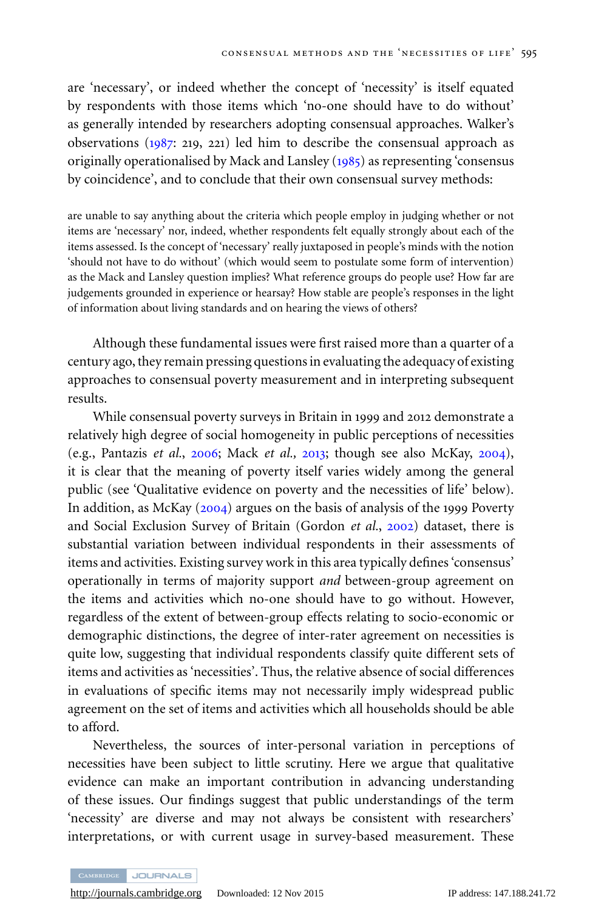are 'necessary', or indeed whether the concept of 'necessity' is itself equated by respondents with those items which 'no-one should have to do without' as generally intended by researchers adopting consensual approaches. Walker's observations ([1987](#page-21-0): 219, 221) led him to describe the consensual approach as originally operationalised by Mack and Lansley ([1985](#page-20-0)) as representing 'consensus by coincidence', and to conclude that their own consensual survey methods:

are unable to say anything about the criteria which people employ in judging whether or not items are 'necessary' nor, indeed, whether respondents felt equally strongly about each of the items assessed. Is the concept of 'necessary' really juxtaposed in people's minds with the notion 'should not have to do without' (which would seem to postulate some form of intervention) as the Mack and Lansley question implies? What reference groups do people use? How far are judgements grounded in experience or hearsay? How stable are people's responses in the light of information about living standards and on hearing the views of others?

Although these fundamental issues were first raised more than a quarter of a century ago, they remain pressing questions in evaluating the adequacy of existing approaches to consensual poverty measurement and in interpreting subsequent results.

While consensual poverty surveys in Britain in 1999 and 2012 demonstrate a relatively high degree of social homogeneity in public perceptions of necessities (e.g., Pantazis *et al.*, [2006](#page-21-0); Mack *et al.,* [2013](#page-20-0); though see also McKay, [2004](#page-20-0)), it is clear that the meaning of poverty itself varies widely among the general public (see 'Qualitative evidence on poverty and the necessities of life' below). In addition, as McKay ([2004](#page-20-0)) argues on the basis of analysis of the 1999 Poverty and Social Exclusion Survey of Britain (Gordon *et al.*, [2002](#page-20-0)) dataset, there is substantial variation between individual respondents in their assessments of items and activities. Existing survey work in this area typically defines 'consensus' operationally in terms of majority support *and* between-group agreement on the items and activities which no-one should have to go without. However, regardless of the extent of between-group effects relating to socio-economic or demographic distinctions, the degree of inter-rater agreement on necessities is quite low, suggesting that individual respondents classify quite different sets of items and activities as 'necessities'. Thus, the relative absence of social differences in evaluations of specific items may not necessarily imply widespread public agreement on the set of items and activities which all households should be able to afford.

Nevertheless, the sources of inter-personal variation in perceptions of necessities have been subject to little scrutiny. Here we argue that qualitative evidence can make an important contribution in advancing understanding of these issues. Our findings suggest that public understandings of the term 'necessity' are diverse and may not always be consistent with researchers' interpretations, or with current usage in survey-based measurement. These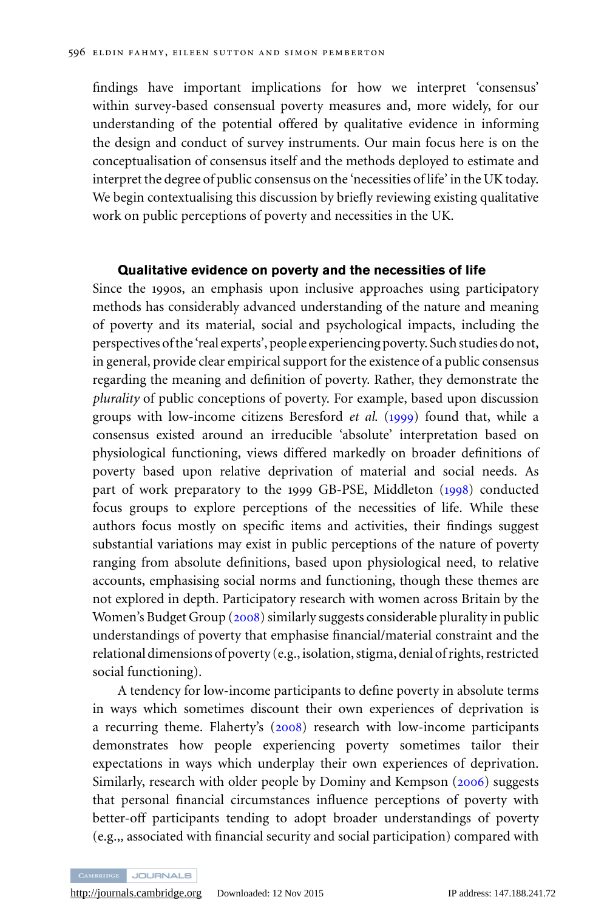findings have important implications for how we interpret 'consensus' within survey-based consensual poverty measures and, more widely, for our understanding of the potential offered by qualitative evidence in informing the design and conduct of survey instruments. Our main focus here is on the conceptualisation of consensus itself and the methods deployed to estimate and interpret the degree of public consensus on the 'necessities of life' in the UK today. We begin contextualising this discussion by briefly reviewing existing qualitative work on public perceptions of poverty and necessities in the UK.

#### **Qualitative evidence on poverty and the necessities of life**

Since the 1990s, an emphasis upon inclusive approaches using participatory methods has considerably advanced understanding of the nature and meaning of poverty and its material, social and psychological impacts, including the perspectives of the 'real experts', people experiencing poverty. Such studies do not, in general, provide clear empirical support for the existence of a public consensus regarding the meaning and definition of poverty. Rather, they demonstrate the *plurality* of public conceptions of poverty. For example, based upon discussion groups with low-income citizens Beresford *et al*. ([1999](#page-19-0)) found that, while a consensus existed around an irreducible 'absolute' interpretation based on physiological functioning, views differed markedly on broader definitions of poverty based upon relative deprivation of material and social needs. As part of work preparatory to the 1999 GB-PSE, Middleton ([1998](#page-20-0)) conducted focus groups to explore perceptions of the necessities of life. While these authors focus mostly on specific items and activities, their findings suggest substantial variations may exist in public perceptions of the nature of poverty ranging from absolute definitions, based upon physiological need, to relative accounts, emphasising social norms and functioning, though these themes are not explored in depth. Participatory research with women across Britain by the Women's Budget Group ([2008](#page-21-0)) similarly suggests considerable plurality in public understandings of poverty that emphasise financial/material constraint and the relational dimensions of poverty (e.g., isolation, stigma, denial of rights, restricted social functioning).

A tendency for low-income participants to define poverty in absolute terms in ways which sometimes discount their own experiences of deprivation is a recurring theme. Flaherty's ([2008](#page-20-0)) research with low-income participants demonstrates how people experiencing poverty sometimes tailor their expectations in ways which underplay their own experiences of deprivation. Similarly, research with older people by Dominy and Kempson ([2006](#page-20-0)) suggests that personal financial circumstances influence perceptions of poverty with better-off participants tending to adopt broader understandings of poverty (e.g.,*,* associated with financial security and social participation) compared with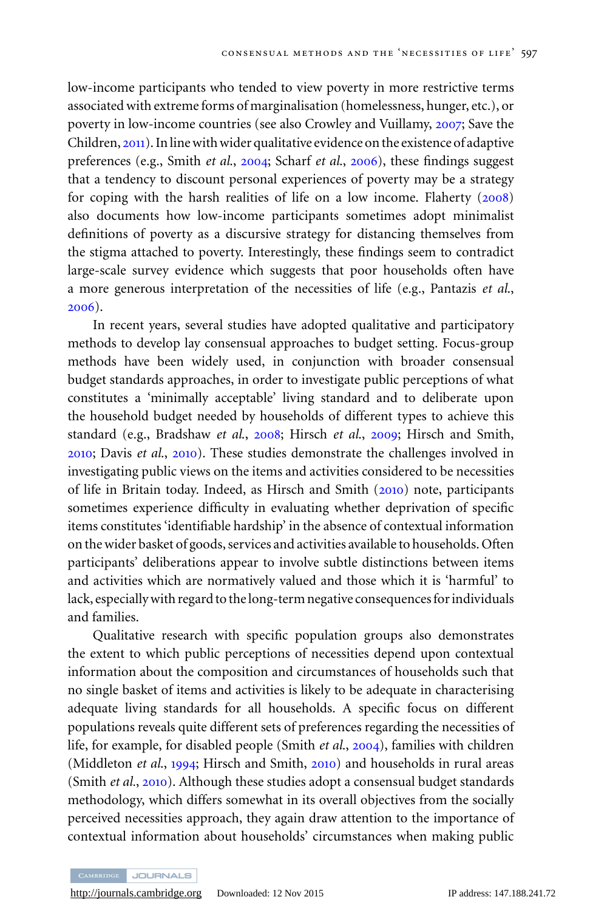low-income participants who tended to view poverty in more restrictive terms associated with extreme forms of marginalisation (homelessness, hunger, etc.), or poverty in low-income countries (see also Crowley and Vuillamy, [2007](#page-19-0); Save the Children, [2011](#page-21-0)). In line with wider qualitative evidence on the existence of adaptive preferences (e.g., Smith *et al*., [2004](#page-21-0); Scharf *et al*., [2006](#page-21-0)), these findings suggest that a tendency to discount personal experiences of poverty may be a strategy for coping with the harsh realities of life on a low income. Flaherty ([2008](#page-20-0)) also documents how low-income participants sometimes adopt minimalist definitions of poverty as a discursive strategy for distancing themselves from the stigma attached to poverty. Interestingly, these findings seem to contradict large-scale survey evidence which suggests that poor households often have a more generous interpretation of the necessities of life (e.g., Pantazis *et al*., [2006](#page-21-0)).

In recent years, several studies have adopted qualitative and participatory methods to develop lay consensual approaches to budget setting. Focus-group methods have been widely used, in conjunction with broader consensual budget standards approaches, in order to investigate public perceptions of what constitutes a 'minimally acceptable' living standard and to deliberate upon the household budget needed by households of different types to achieve this standard (e.g., Bradshaw *et al*., [2008](#page-19-0); Hirsch *et al*., [2009](#page-20-0); Hirsch and Smith, [2010](#page-20-0); Davis *et al*., [2010](#page-19-0)). These studies demonstrate the challenges involved in investigating public views on the items and activities considered to be necessities of life in Britain today. Indeed, as Hirsch and Smith ([2010](#page-20-0)) note, participants sometimes experience difficulty in evaluating whether deprivation of specific items constitutes 'identifiable hardship' in the absence of contextual information on the wider basket of goods, services and activities available to households. Often participants' deliberations appear to involve subtle distinctions between items and activities which are normatively valued and those which it is 'harmful' to lack, especially with regard to the long-term negative consequences for individuals and families.

Qualitative research with specific population groups also demonstrates the extent to which public perceptions of necessities depend upon contextual information about the composition and circumstances of households such that no single basket of items and activities is likely to be adequate in characterising adequate living standards for all households. A specific focus on different populations reveals quite different sets of preferences regarding the necessities of life, for example, for disabled people (Smith *et al*., [2004](#page-21-0)), families with children (Middleton *et al*., [1994](#page-21-0); Hirsch and Smith, [2010](#page-20-0)) and households in rural areas (Smith *et al.*, [2010](#page-21-0)). Although these studies adopt a consensual budget standards methodology, which differs somewhat in its overall objectives from the socially perceived necessities approach, they again draw attention to the importance of contextual information about households' circumstances when making public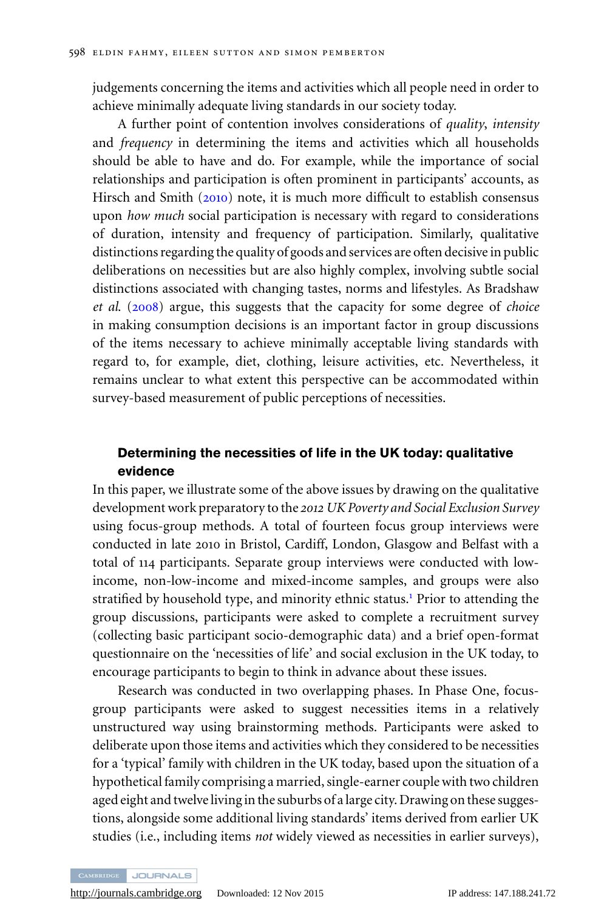judgements concerning the items and activities which all people need in order to achieve minimally adequate living standards in our society today.

A further point of contention involves considerations of *quality*, *intensity* and *frequency* in determining the items and activities which all households should be able to have and do. For example, while the importance of social relationships and participation is often prominent in participants' accounts, as Hirsch and Smith ([2010](#page-20-0)) note, it is much more difficult to establish consensus upon *how much* social participation is necessary with regard to considerations of duration, intensity and frequency of participation. Similarly, qualitative distinctions regarding the quality of goods and services are often decisive in public deliberations on necessities but are also highly complex, involving subtle social distinctions associated with changing tastes, norms and lifestyles. As Bradshaw *et al*. ([2008](#page-19-0)) argue, this suggests that the capacity for some degree of *choice* in making consumption decisions is an important factor in group discussions of the items necessary to achieve minimally acceptable living standards with regard to, for example, diet, clothing, leisure activities, etc. Nevertheless, it remains unclear to what extent this perspective can be accommodated within survey-based measurement of public perceptions of necessities.

#### **Determining the necessities of life in the UK today: qualitative evidence**

In this paper, we illustrate some of the above issues by drawing on the qualitative development work preparatory to the *2012 UK Poverty and Social Exclusion Survey* using focus-group methods. A total of fourteen focus group interviews were conducted in late 2010 in Bristol, Cardiff, London, Glasgow and Belfast with a total of 114 participants. Separate group interviews were conducted with lowincome, non-low-income and mixed-income samples, and groups were also stratified by household type, and minority ethnic status[.](#page-19-0)<sup>1</sup> Prior to attending the group discussions, participants were asked to complete a recruitment survey (collecting basic participant socio-demographic data) and a brief open-format questionnaire on the 'necessities of life' and social exclusion in the UK today, to encourage participants to begin to think in advance about these issues.

Research was conducted in two overlapping phases. In Phase One, focusgroup participants were asked to suggest necessities items in a relatively unstructured way using brainstorming methods. Participants were asked to deliberate upon those items and activities which they considered to be necessities for a 'typical' family with children in the UK today, based upon the situation of a hypothetical family comprising a married, single-earner couple with two children aged eight and twelve living in the suburbs of a large city. Drawing on these suggestions, alongside some additional living standards' items derived from earlier UK studies (i.e., including items *not* widely viewed as necessities in earlier surveys),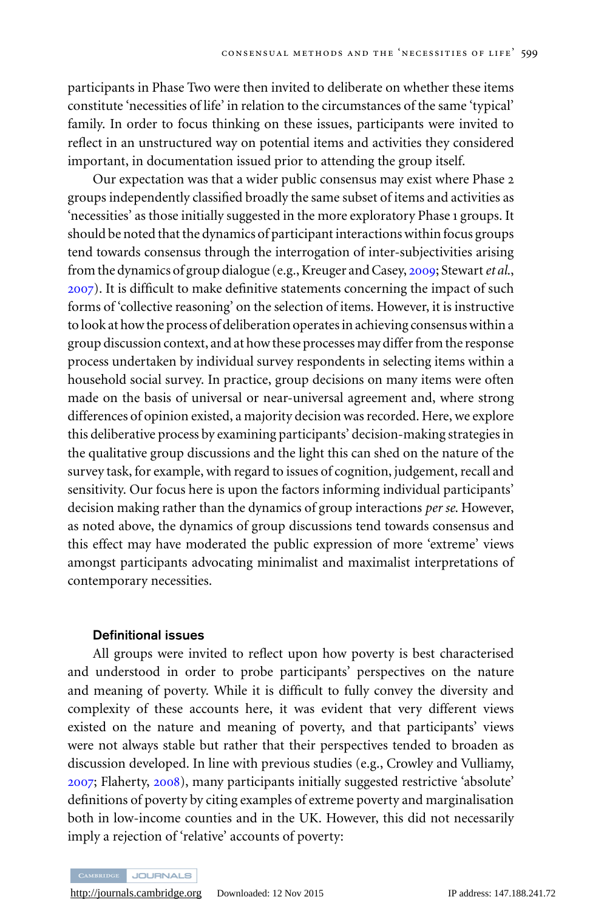participants in Phase Two were then invited to deliberate on whether these items constitute 'necessities of life' in relation to the circumstances of the same 'typical' family. In order to focus thinking on these issues, participants were invited to reflect in an unstructured way on potential items and activities they considered important, in documentation issued prior to attending the group itself.

Our expectation was that a wider public consensus may exist where Phase 2 groups independently classified broadly the same subset of items and activities as 'necessities' as those initially suggested in the more exploratory Phase 1 groups. It should be noted that the dynamics of participant interactions within focus groups tend towards consensus through the interrogation of inter-subjectivities arising from the dynamics of group dialogue (e.g., Kreuger and Casey, [2009](#page-20-0); Stewart*et al*., [2007](#page-21-0)). It is difficult to make definitive statements concerning the impact of such forms of 'collective reasoning' on the selection of items. However, it is instructive to look at how the process of deliberation operates in achieving consensus within a group discussion context, and at how these processes may differ from the response process undertaken by individual survey respondents in selecting items within a household social survey. In practice, group decisions on many items were often made on the basis of universal or near-universal agreement and, where strong differences of opinion existed, a majority decision was recorded. Here, we explore this deliberative process by examining participants' decision-making strategies in the qualitative group discussions and the light this can shed on the nature of the survey task, for example, with regard to issues of cognition, judgement, recall and sensitivity. Our focus here is upon the factors informing individual participants' decision making rather than the dynamics of group interactions *per se*. However, as noted above, the dynamics of group discussions tend towards consensus and this effect may have moderated the public expression of more 'extreme' views amongst participants advocating minimalist and maximalist interpretations of contemporary necessities.

#### **Definitional issues**

All groups were invited to reflect upon how poverty is best characterised and understood in order to probe participants' perspectives on the nature and meaning of poverty. While it is difficult to fully convey the diversity and complexity of these accounts here, it was evident that very different views existed on the nature and meaning of poverty, and that participants' views were not always stable but rather that their perspectives tended to broaden as discussion developed. In line with previous studies (e.g., Crowley and Vulliamy, [2007](#page-19-0); Flaherty, [2008](#page-20-0)), many participants initially suggested restrictive 'absolute' definitions of poverty by citing examples of extreme poverty and marginalisation both in low-income counties and in the UK. However, this did not necessarily imply a rejection of 'relative' accounts of poverty: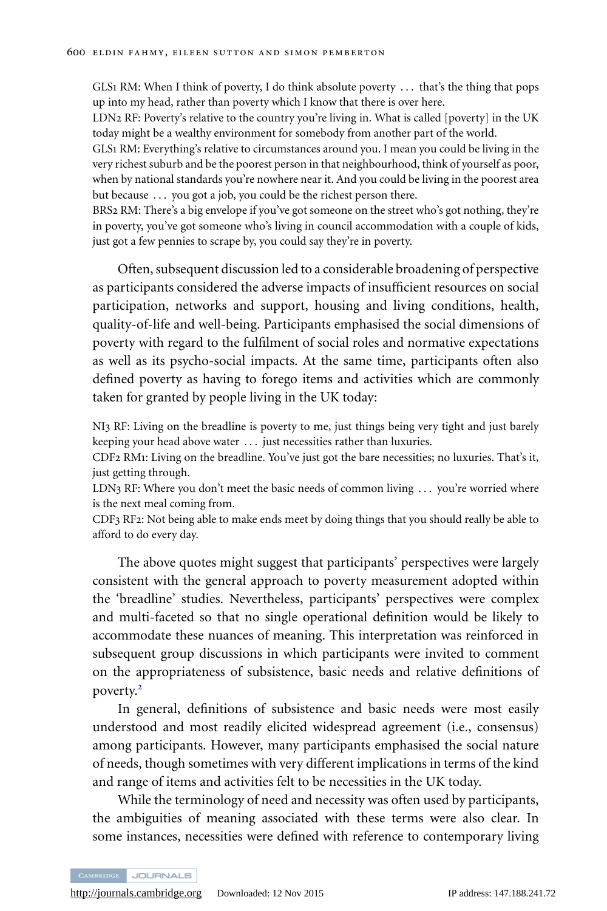GLS1 RM: When I think of poverty, I do think absolute poverty . . . that's the thing that pops up into my head, rather than poverty which I know that there is over here.

LDN2 RF: Poverty's relative to the country you're living in. What is called [poverty] in the UK today might be a wealthy environment for somebody from another part of the world.

GLS1 RM: Everything's relative to circumstances around you. I mean you could be living in the very richest suburb and be the poorest person in that neighbourhood, think of yourself as poor, when by national standards you're nowhere near it. And you could be living in the poorest area but because ... you got a job, you could be the richest person there.

BRS2 RM: There's a big envelope if you've got someone on the street who's got nothing, they're in poverty, you've got someone who's living in council accommodation with a couple of kids, just got a few pennies to scrape by, you could say they're in poverty.

Often, subsequent discussion led to a considerable broadening of perspective as participants considered the adverse impacts of insufficient resources on social participation, networks and support, housing and living conditions, health, quality-of-life and well-being. Participants emphasised the social dimensions of poverty with regard to the fulfilment of social roles and normative expectations as well as its psycho-social impacts. At the same time, participants often also defined poverty as having to forego items and activities which are commonly taken for granted by people living in the UK today:

NI3 RF: Living on the breadline is poverty to me, just things being very tight and just barely keeping your head above water . . . just necessities rather than luxuries.

CDF2 RM1: Living on the breadline. You've just got the bare necessities; no luxuries. That's it, just getting through.

LDN3 RF: Where you don't meet the basic needs of common living ... you're worried where is the next meal coming from.

CDF3 RF2: Not being able to make ends meet by doing things that you should really be able to afford to do every day.

The above quotes might suggest that participants' perspectives were largely consistent with the general approach to poverty measurement adopted within the 'breadline' studies. Nevertheless, participants' perspectives were complex and multi-faceted so that no single operational definition would be likely to accommodate these nuances of meaning. This interpretation was reinforced in subsequent group discussions in which participants were invited to comment on the appropriateness of subsistence, basic needs and relative definitions of poverty[.](#page-19-0)<sup>2</sup>

In general, definitions of subsistence and basic needs were most easily understood and most readily elicited widespread agreement (i.e., consensus) among participants. However, many participants emphasised the social nature of needs, though sometimes with very different implications in terms of the kind and range of items and activities felt to be necessities in the UK today.

While the terminology of need and necessity was often used by participants, the ambiguities of meaning associated with these terms were also clear. In some instances, necessities were defined with reference to contemporary living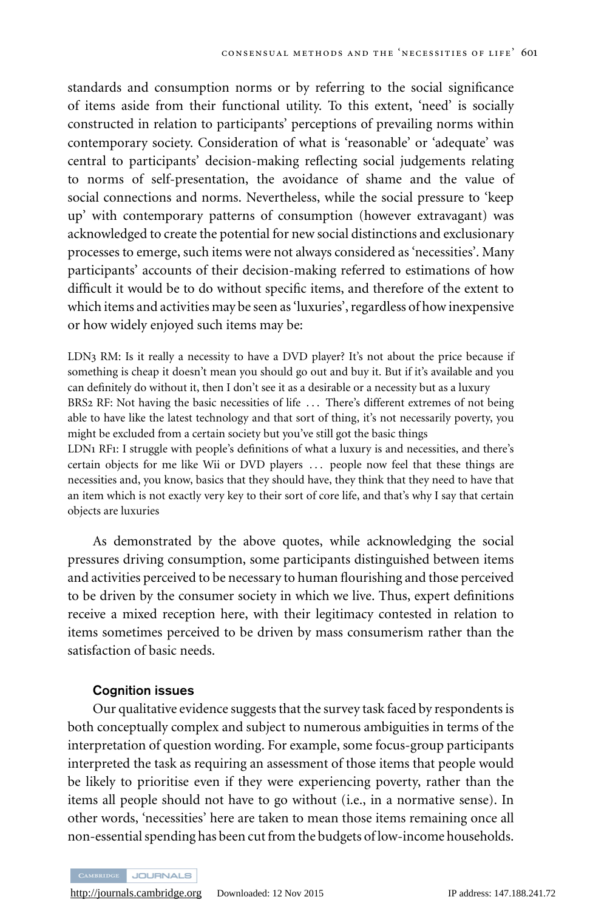standards and consumption norms or by referring to the social significance of items aside from their functional utility. To this extent, 'need' is socially constructed in relation to participants' perceptions of prevailing norms within contemporary society. Consideration of what is 'reasonable' or 'adequate' was central to participants' decision-making reflecting social judgements relating to norms of self-presentation, the avoidance of shame and the value of social connections and norms. Nevertheless, while the social pressure to 'keep up' with contemporary patterns of consumption (however extravagant) was acknowledged to create the potential for new social distinctions and exclusionary processes to emerge, such items were not always considered as 'necessities'. Many participants' accounts of their decision-making referred to estimations of how difficult it would be to do without specific items, and therefore of the extent to which items and activities may be seen as 'luxuries', regardless of how inexpensive or how widely enjoyed such items may be:

LDN3 RM: Is it really a necessity to have a DVD player? It's not about the price because if something is cheap it doesn't mean you should go out and buy it. But if it's available and you can definitely do without it, then I don't see it as a desirable or a necessity but as a luxury BRS2 RF: Not having the basic necessities of life ... There's different extremes of not being able to have like the latest technology and that sort of thing, it's not necessarily poverty, you might be excluded from a certain society but you've still got the basic things

LDN1 RF1: I struggle with people's definitions of what a luxury is and necessities, and there's certain objects for me like Wii or DVD players . . . people now feel that these things are necessities and, you know, basics that they should have, they think that they need to have that an item which is not exactly very key to their sort of core life, and that's why I say that certain objects are luxuries

As demonstrated by the above quotes, while acknowledging the social pressures driving consumption, some participants distinguished between items and activities perceived to be necessary to human flourishing and those perceived to be driven by the consumer society in which we live. Thus, expert definitions receive a mixed reception here, with their legitimacy contested in relation to items sometimes perceived to be driven by mass consumerism rather than the satisfaction of basic needs.

#### **Cognition issues**

Our qualitative evidence suggests that the survey task faced by respondents is both conceptually complex and subject to numerous ambiguities in terms of the interpretation of question wording. For example, some focus-group participants interpreted the task as requiring an assessment of those items that people would be likely to prioritise even if they were experiencing poverty, rather than the items all people should not have to go without (i.e., in a normative sense). In other words, 'necessities' here are taken to mean those items remaining once all non-essential spending has been cut from the budgets of low-income households.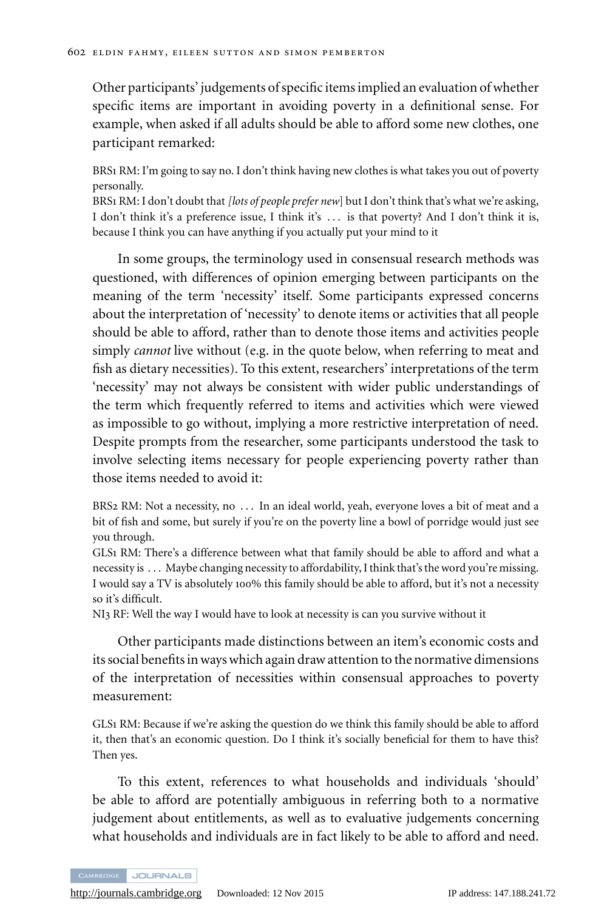Other participants' judgements of specific items implied an evaluation of whether specific items are important in avoiding poverty in a definitional sense. For example, when asked if all adults should be able to afford some new clothes, one participant remarked:

BRS1 RM: I'm going to say no. I don't think having new clothes is what takes you out of poverty personally.

BRS1 RM: I don't doubt that*[lots of people prefer new*] but I don't think that's what we're asking, I don't think it's a preference issue, I think it's . . . is that poverty? And I don't think it is, because I think you can have anything if you actually put your mind to it

In some groups, the terminology used in consensual research methods was questioned, with differences of opinion emerging between participants on the meaning of the term 'necessity' itself. Some participants expressed concerns about the interpretation of 'necessity' to denote items or activities that all people should be able to afford, rather than to denote those items and activities people simply *cannot* live without (e.g. in the quote below, when referring to meat and fish as dietary necessities). To this extent, researchers' interpretations of the term 'necessity' may not always be consistent with wider public understandings of the term which frequently referred to items and activities which were viewed as impossible to go without, implying a more restrictive interpretation of need. Despite prompts from the researcher, some participants understood the task to involve selecting items necessary for people experiencing poverty rather than those items needed to avoid it:

BRS2 RM: Not a necessity, no ... In an ideal world, yeah, everyone loves a bit of meat and a bit of fish and some, but surely if you're on the poverty line a bowl of porridge would just see you through.

GLS1 RM: There's a difference between what that family should be able to afford and what a necessity is . . . Maybe changing necessity to affordability, I think that's the word you're missing. I would say a TV is absolutely 100% this family should be able to afford, but it's not a necessity so it's difficult.

NI3 RF: Well the way I would have to look at necessity is can you survive without it

Other participants made distinctions between an item's economic costs and its social benefits in ways which again draw attention to the normative dimensions of the interpretation of necessities within consensual approaches to poverty measurement:

GLS1 RM: Because if we're asking the question do we think this family should be able to afford it, then that's an economic question. Do I think it's socially beneficial for them to have this? Then yes.

To this extent, references to what households and individuals 'should' be able to afford are potentially ambiguous in referring both to a normative judgement about entitlements, as well as to evaluative judgements concerning what households and individuals are in fact likely to be able to afford and need.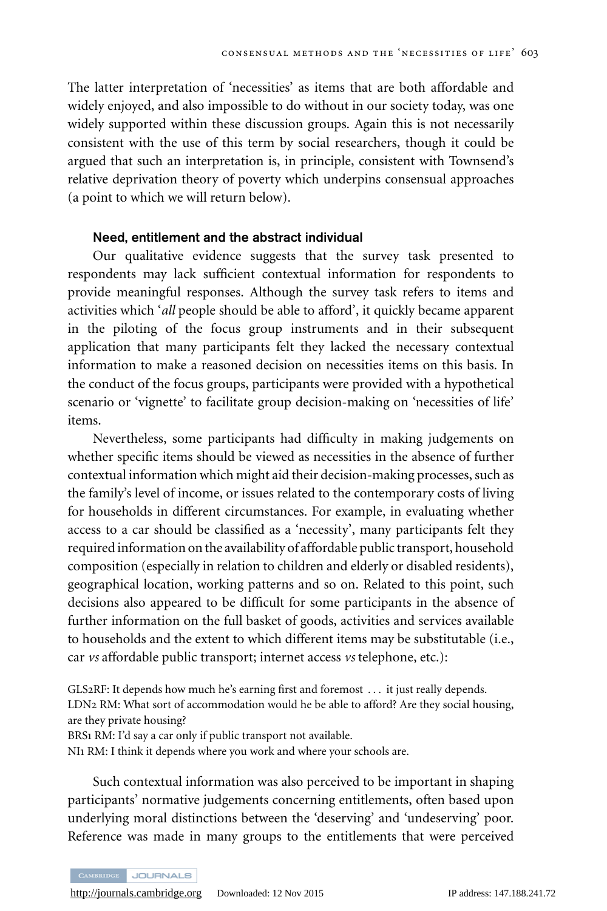The latter interpretation of 'necessities' as items that are both affordable and widely enjoyed, and also impossible to do without in our society today, was one widely supported within these discussion groups. Again this is not necessarily consistent with the use of this term by social researchers, though it could be argued that such an interpretation is, in principle, consistent with Townsend's relative deprivation theory of poverty which underpins consensual approaches (a point to which we will return below).

#### **Need, entitlement and the abstract individual**

Our qualitative evidence suggests that the survey task presented to respondents may lack sufficient contextual information for respondents to provide meaningful responses. Although the survey task refers to items and activities which '*all* people should be able to afford', it quickly became apparent in the piloting of the focus group instruments and in their subsequent application that many participants felt they lacked the necessary contextual information to make a reasoned decision on necessities items on this basis. In the conduct of the focus groups, participants were provided with a hypothetical scenario or 'vignette' to facilitate group decision-making on 'necessities of life' items.

Nevertheless, some participants had difficulty in making judgements on whether specific items should be viewed as necessities in the absence of further contextual information which might aid their decision-making processes, such as the family's level of income, or issues related to the contemporary costs of living for households in different circumstances. For example, in evaluating whether access to a car should be classified as a 'necessity', many participants felt they required information on the availability of affordable public transport, household composition (especially in relation to children and elderly or disabled residents), geographical location, working patterns and so on. Related to this point, such decisions also appeared to be difficult for some participants in the absence of further information on the full basket of goods, activities and services available to households and the extent to which different items may be substitutable (i.e., car *vs* affordable public transport; internet access *vs* telephone, etc.):

GLS2RF: It depends how much he's earning first and foremost . . . it just really depends. LDN2 RM: What sort of accommodation would he be able to afford? Are they social housing, are they private housing? BRS1 RM: I'd say a car only if public transport not available. NI1 RM: I think it depends where you work and where your schools are.

Such contextual information was also perceived to be important in shaping participants' normative judgements concerning entitlements, often based upon underlying moral distinctions between the 'deserving' and 'undeserving' poor. Reference was made in many groups to the entitlements that were perceived

CAMBRIDGE JOURNALS

<http://journals.cambridge.org> Downloaded: 12 Nov 2015 IP address: 147.188.241.72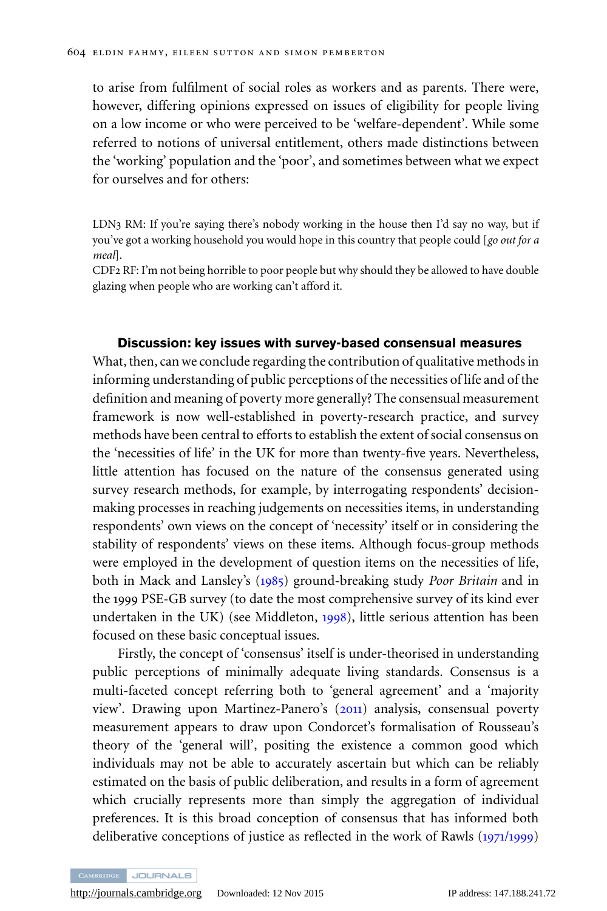to arise from fulfilment of social roles as workers and as parents. There were, however, differing opinions expressed on issues of eligibility for people living on a low income or who were perceived to be 'welfare-dependent'. While some referred to notions of universal entitlement, others made distinctions between the 'working' population and the 'poor', and sometimes between what we expect for ourselves and for others:

LDN3 RM: If you're saying there's nobody working in the house then I'd say no way, but if you've got a working household you would hope in this country that people could [*go out for a meal*].

CDF2 RF: I'm not being horrible to poor people but why should they be allowed to have double glazing when people who are working can't afford it.

#### **Discussion: key issues with survey-based consensual measures**

What, then, can we conclude regarding the contribution of qualitative methods in informing understanding of public perceptions of the necessities of life and of the definition and meaning of poverty more generally? The consensual measurement framework is now well-established in poverty-research practice, and survey methods have been central to efforts to establish the extent of social consensus on the 'necessities of life' in the UK for more than twenty-five years. Nevertheless, little attention has focused on the nature of the consensus generated using survey research methods, for example, by interrogating respondents' decisionmaking processes in reaching judgements on necessities items, in understanding respondents' own views on the concept of 'necessity' itself or in considering the stability of respondents' views on these items. Although focus-group methods were employed in the development of question items on the necessities of life, both in Mack and Lansley's ([1985](#page-20-0)) ground-breaking study *Poor Britain* and in the 1999 PSE-GB survey (to date the most comprehensive survey of its kind ever undertaken in the UK) (see Middleton, [1998](#page-20-0)), little serious attention has been focused on these basic conceptual issues.

Firstly, the concept of 'consensus' itself is under-theorised in understanding public perceptions of minimally adequate living standards. Consensus is a multi-faceted concept referring both to 'general agreement' and a 'majority view'. Drawing upon Martinez-Panero's ([2011](#page-20-0)) analysis, consensual poverty measurement appears to draw upon Condorcet's formalisation of Rousseau's theory of the 'general will', positing the existence a common good which individuals may not be able to accurately ascertain but which can be reliably estimated on the basis of public deliberation, and results in a form of agreement which crucially represents more than simply the aggregation of individual preferences. It is this broad conception of consensus that has informed both deliberative conceptions of justice as reflected in the work of Rawls (1971/[1999](#page-21-0))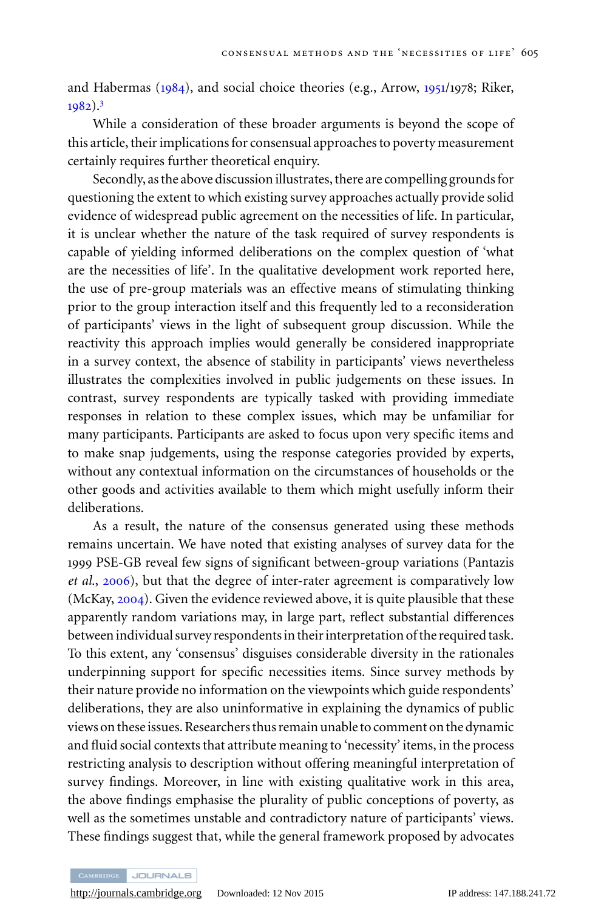and Habermas ([1984](#page-20-0)), and social choice theories (e.g., Arrow, [1951](#page-19-0)/1978; Riker, [1982](#page-21-0))[.](#page-19-0)<sup>3</sup>

While a consideration of these broader arguments is beyond the scope of this article, their implications for consensual approaches to poverty measurement certainly requires further theoretical enquiry.

Secondly, as the above discussion illustrates, there are compelling grounds for questioning the extent to which existing survey approaches actually provide solid evidence of widespread public agreement on the necessities of life. In particular, it is unclear whether the nature of the task required of survey respondents is capable of yielding informed deliberations on the complex question of 'what are the necessities of life'. In the qualitative development work reported here, the use of pre-group materials was an effective means of stimulating thinking prior to the group interaction itself and this frequently led to a reconsideration of participants' views in the light of subsequent group discussion. While the reactivity this approach implies would generally be considered inappropriate in a survey context, the absence of stability in participants' views nevertheless illustrates the complexities involved in public judgements on these issues. In contrast, survey respondents are typically tasked with providing immediate responses in relation to these complex issues, which may be unfamiliar for many participants. Participants are asked to focus upon very specific items and to make snap judgements, using the response categories provided by experts, without any contextual information on the circumstances of households or the other goods and activities available to them which might usefully inform their deliberations.

As a result, the nature of the consensus generated using these methods remains uncertain. We have noted that existing analyses of survey data for the 1999 PSE-GB reveal few signs of significant between-group variations (Pantazis *et al*., [2006](#page-21-0)), but that the degree of inter-rater agreement is comparatively low (McKay, [2004](#page-20-0)). Given the evidence reviewed above, it is quite plausible that these apparently random variations may, in large part, reflect substantial differences between individual survey respondents in their interpretation of the required task. To this extent, any 'consensus' disguises considerable diversity in the rationales underpinning support for specific necessities items. Since survey methods by their nature provide no information on the viewpoints which guide respondents' deliberations, they are also uninformative in explaining the dynamics of public views on these issues. Researchers thus remain unable to comment on the dynamic and fluid social contexts that attribute meaning to 'necessity' items, in the process restricting analysis to description without offering meaningful interpretation of survey findings. Moreover, in line with existing qualitative work in this area, the above findings emphasise the plurality of public conceptions of poverty, as well as the sometimes unstable and contradictory nature of participants' views. These findings suggest that, while the general framework proposed by advocates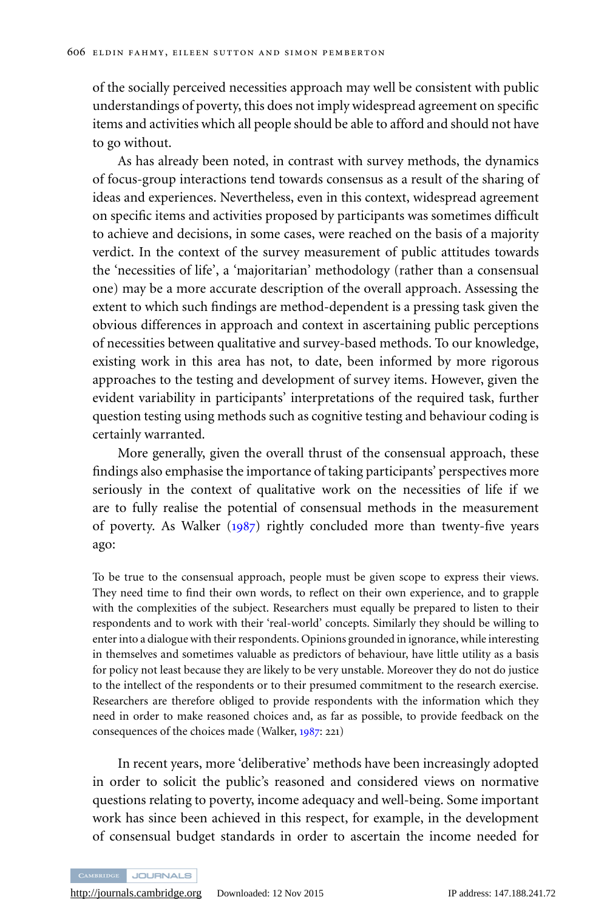of the socially perceived necessities approach may well be consistent with public understandings of poverty, this does not imply widespread agreement on specific items and activities which all people should be able to afford and should not have to go without.

As has already been noted, in contrast with survey methods, the dynamics of focus-group interactions tend towards consensus as a result of the sharing of ideas and experiences. Nevertheless, even in this context, widespread agreement on specific items and activities proposed by participants was sometimes difficult to achieve and decisions, in some cases, were reached on the basis of a majority verdict. In the context of the survey measurement of public attitudes towards the 'necessities of life', a 'majoritarian' methodology (rather than a consensual one) may be a more accurate description of the overall approach. Assessing the extent to which such findings are method-dependent is a pressing task given the obvious differences in approach and context in ascertaining public perceptions of necessities between qualitative and survey-based methods. To our knowledge, existing work in this area has not, to date, been informed by more rigorous approaches to the testing and development of survey items. However, given the evident variability in participants' interpretations of the required task, further question testing using methods such as cognitive testing and behaviour coding is certainly warranted.

More generally, given the overall thrust of the consensual approach, these findings also emphasise the importance of taking participants' perspectives more seriously in the context of qualitative work on the necessities of life if we are to fully realise the potential of consensual methods in the measurement of poverty. As Walker  $(1987)$  $(1987)$  $(1987)$  rightly concluded more than twenty-five years ago:

To be true to the consensual approach, people must be given scope to express their views. They need time to find their own words, to reflect on their own experience, and to grapple with the complexities of the subject. Researchers must equally be prepared to listen to their respondents and to work with their 'real-world' concepts. Similarly they should be willing to enter into a dialogue with their respondents. Opinions grounded in ignorance, while interesting in themselves and sometimes valuable as predictors of behaviour, have little utility as a basis for policy not least because they are likely to be very unstable. Moreover they do not do justice to the intellect of the respondents or to their presumed commitment to the research exercise. Researchers are therefore obliged to provide respondents with the information which they need in order to make reasoned choices and, as far as possible, to provide feedback on the consequences of the choices made (Walker, [1987](#page-21-0): 221)

In recent years, more 'deliberative' methods have been increasingly adopted in order to solicit the public's reasoned and considered views on normative questions relating to poverty, income adequacy and well-being. Some important work has since been achieved in this respect, for example, in the development of consensual budget standards in order to ascertain the income needed for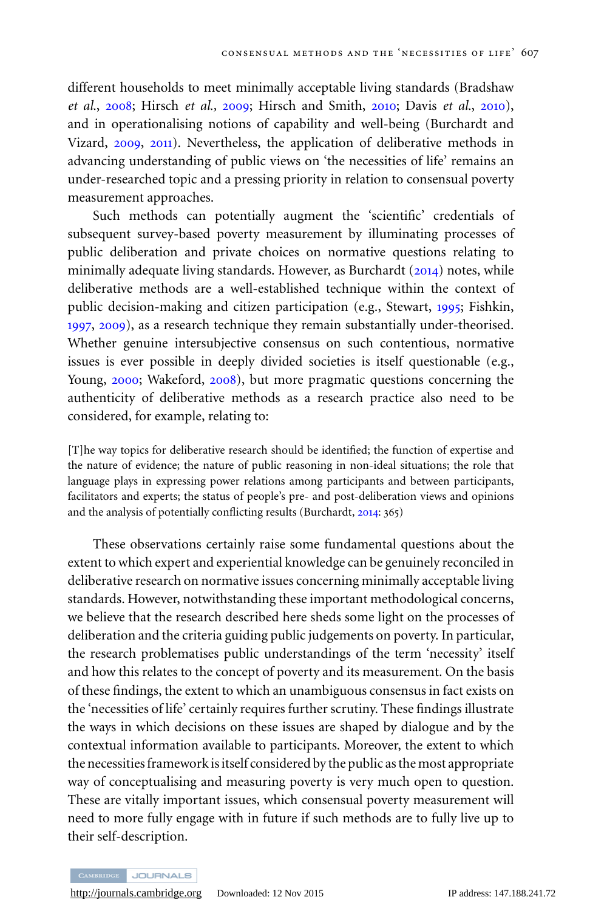different households to meet minimally acceptable living standards (Bradshaw *et al*., [2008](#page-19-0); Hirsch *et al.,* [2009](#page-20-0); Hirsch and Smith, [2010](#page-20-0); Davis *et al*., [2010](#page-19-0)), and in operationalising notions of capability and well-being (Burchardt and Vizard, [2009](#page-19-0), [2011](#page-19-0)). Nevertheless, the application of deliberative methods in advancing understanding of public views on 'the necessities of life' remains an under-researched topic and a pressing priority in relation to consensual poverty measurement approaches.

Such methods can potentially augment the 'scientific' credentials of subsequent survey-based poverty measurement by illuminating processes of public deliberation and private choices on normative questions relating to minimally adequate living standards. However, as Burchardt  $(2014)$  $(2014)$  $(2014)$  notes, while deliberative methods are a well-established technique within the context of public decision-making and citizen participation (e.g., Stewart, [1995](#page-21-0); Fishkin, [1997](#page-20-0), [2009](#page-20-0)), as a research technique they remain substantially under-theorised. Whether genuine intersubjective consensus on such contentious, normative issues is ever possible in deeply divided societies is itself questionable (e.g., Young, [2000](#page-21-0); Wakeford, [2008](#page-21-0)), but more pragmatic questions concerning the authenticity of deliberative methods as a research practice also need to be considered, for example, relating to:

[T]he way topics for deliberative research should be identified; the function of expertise and the nature of evidence; the nature of public reasoning in non-ideal situations; the role that language plays in expressing power relations among participants and between participants, facilitators and experts; the status of people's pre- and post-deliberation views and opinions and the analysis of potentially conflicting results (Burchardt, [2014](#page-19-0): 365)

These observations certainly raise some fundamental questions about the extent to which expert and experiential knowledge can be genuinely reconciled in deliberative research on normative issues concerning minimally acceptable living standards. However, notwithstanding these important methodological concerns, we believe that the research described here sheds some light on the processes of deliberation and the criteria guiding public judgements on poverty. In particular, the research problematises public understandings of the term 'necessity' itself and how this relates to the concept of poverty and its measurement. On the basis of these findings, the extent to which an unambiguous consensus in fact exists on the 'necessities of life' certainly requires further scrutiny. These findings illustrate the ways in which decisions on these issues are shaped by dialogue and by the contextual information available to participants. Moreover, the extent to which the necessities framework is itself considered by the public as the most appropriate way of conceptualising and measuring poverty is very much open to question. These are vitally important issues, which consensual poverty measurement will need to more fully engage with in future if such methods are to fully live up to their self-description.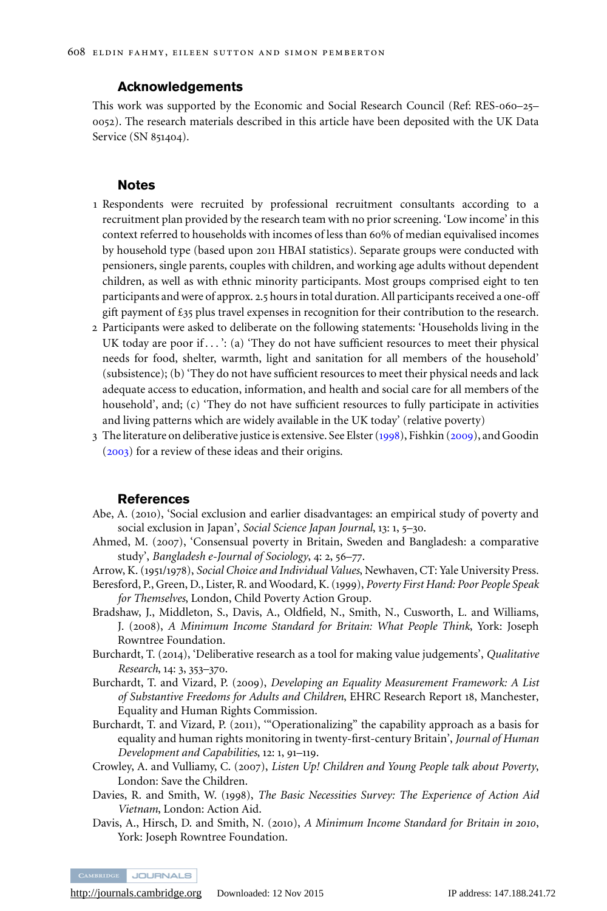#### **Acknowledgements**

<span id="page-19-0"></span>This work was supported by the Economic and Social Research Council (Ref: RES-060–25– 0052). The research materials described in this article have been deposited with the UK Data Service (SN 851404).

#### **Notes**

- 1 Respondents were recruited by professional recruitment consultants according to a recruitment plan provided by the research team with no prior screening. 'Low income' in this context referred to households with incomes of less than 60% of median equivalised incomes by household type (based upon 2011 HBAI statistics). Separate groups were conducted with pensioners, single parents, couples with children, and working age adults without dependent children, as well as with ethnic minority participants. Most groups comprised eight to ten participants and were of approx. 2.5 hours in total duration. All participants received a one-off gift payment of  $\pounds$ 35 plus travel expenses in recognition for their contribution to the research.
- 2 Participants were asked to deliberate on the following statements: 'Households living in the UK today are poor if . . . ': (a) 'They do not have sufficient resources to meet their physical needs for food, shelter, warmth, light and sanitation for all members of the household' (subsistence); (b) 'They do not have sufficient resources to meet their physical needs and lack adequate access to education, information, and health and social care for all members of the household', and; (c) 'They do not have sufficient resources to fully participate in activities and living patterns which are widely available in the UK today' (relative poverty)
- 3 The literature on deliberative justice is extensive. See Elster ([1998](#page-20-0)), Fishkin ([2009](#page-20-0)), and Goodin ([2003](#page-20-0)) for a review of these ideas and their origins.

#### **References**

- Abe, A. (2010), 'Social exclusion and earlier disadvantages: an empirical study of poverty and social exclusion in Japan', *Social Science Japan Journal*, 13: 1, 5–30.
- Ahmed, M. (2007), 'Consensual poverty in Britain, Sweden and Bangladesh: a comparative study', *Bangladesh e-Journal of Sociology*, 4: 2, 56–77.

Arrow, K. (1951/1978), *Social Choice and Individual Values*, Newhaven, CT: Yale University Press.

- Beresford, P., Green, D., Lister, R. and Woodard, K. (1999), *Poverty First Hand: Poor People Speak for Themselves*, London, Child Poverty Action Group.
- Bradshaw, J., Middleton, S., Davis, A., Oldfield, N., Smith, N., Cusworth, L. and Williams, J. (2008), *A Minimum Income Standard for Britain: What People Think*, York: Joseph Rowntree Foundation.
- Burchardt, T. (2014), 'Deliberative research as a tool for making value judgements', *Qualitative Research*, 14: 3, 353–370.
- Burchardt, T. and Vizard, P. (2009), *Developing an Equality Measurement Framework: A List of Substantive Freedoms for Adults and Children*, EHRC Research Report 18, Manchester, Equality and Human Rights Commission.
- Burchardt, T. and Vizard, P. (2011), '"Operationalizing" the capability approach as a basis for equality and human rights monitoring in twenty-first-century Britain', *Journal of Human Development and Capabilities*, 12: 1, 91–119.
- Crowley, A. and Vulliamy, C. (2007), *Listen Up! Children and Young People talk about Poverty*, London: Save the Children.
- Davies, R. and Smith, W. (1998), *The Basic Necessities Survey: The Experience of Action Aid Vietnam*, London: Action Aid.
- Davis, A., Hirsch, D. and Smith, N. (2010), *A Minimum Income Standard for Britain in 2010*, York: Joseph Rowntree Foundation.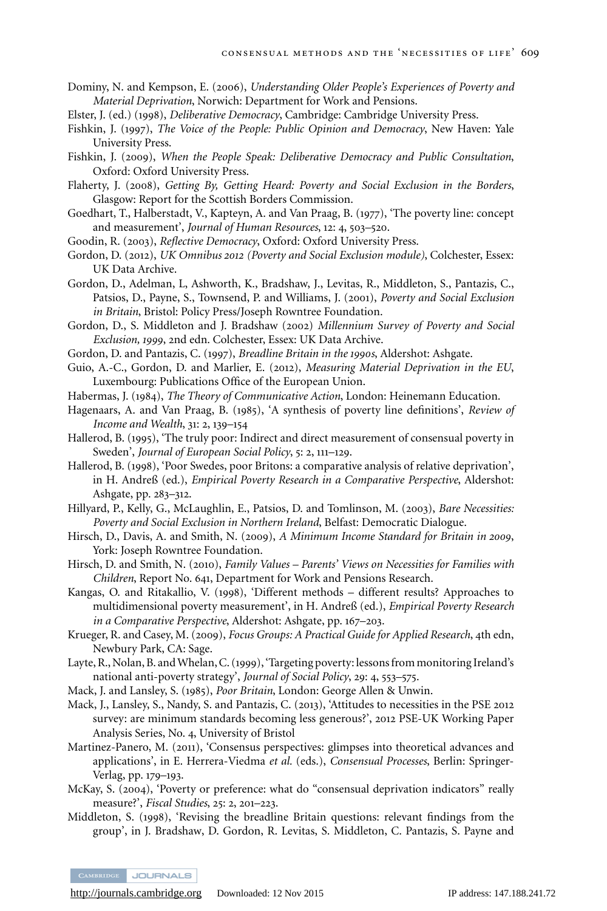- <span id="page-20-0"></span>Dominy, N. and Kempson, E. (2006), *Understanding Older People's Experiences of Poverty and Material Deprivation*, Norwich: Department for Work and Pensions.
- Elster, J. (ed.) (1998), *Deliberative Democracy*, Cambridge: Cambridge University Press.
- Fishkin, J. (1997), *The Voice of the People: Public Opinion and Democracy*, New Haven: Yale University Press.
- Fishkin, J. (2009), *When the People Speak: Deliberative Democracy and Public Consultation*, Oxford: Oxford University Press.
- Flaherty, J. (2008), *Getting By, Getting Heard: Poverty and Social Exclusion in the Borders*, Glasgow: Report for the Scottish Borders Commission.
- Goedhart, T., Halberstadt, V., Kapteyn, A. and Van Praag, B. (1977), 'The poverty line: concept and measurement', *Journal of Human Resources*, 12: 4, 503–520.
- Goodin, R. (2003), *Reflective Democracy*, Oxford: Oxford University Press.
- Gordon, D. (2012), *UK Omnibus 2012 (Poverty and Social Exclusion module)*, Colchester, Essex: UK Data Archive.
- Gordon, D., Adelman, L, Ashworth, K., Bradshaw, J., Levitas, R., Middleton, S., Pantazis, C., Patsios, D., Payne, S., Townsend, P. and Williams, J. (2001), *Poverty and Social Exclusion in Britain*, Bristol: Policy Press/Joseph Rowntree Foundation.
- Gordon, D., S. Middleton and J. Bradshaw (2002) *Millennium Survey of Poverty and Social Exclusion, 1999*, 2nd edn. Colchester, Essex: UK Data Archive.
- Gordon, D. and Pantazis, C. (1997), *Breadline Britain in the 1990s*, Aldershot: Ashgate.
- Guio, A.-C., Gordon, D. and Marlier, E. (2012), *Measuring Material Deprivation in the EU*, Luxembourg: Publications Office of the European Union.
- Habermas, J. (1984), *The Theory of Communicative Action*, London: Heinemann Education.
- Hagenaars, A. and Van Praag, B. (1985), 'A synthesis of poverty line definitions', *Review of Income and Wealth*, 31: 2, 139–154
- Hallerod, B. (1995), 'The truly poor: Indirect and direct measurement of consensual poverty in Sweden', *Journal of European Social Policy*, 5: 2, 111–129.
- Hallerod, B. (1998), 'Poor Swedes, poor Britons: a comparative analysis of relative deprivation', in H. Andreß (ed.), *Empirical Poverty Research in a Comparative Perspective*, Aldershot: Ashgate, pp. 283–312.
- Hillyard, P., Kelly, G., McLaughlin, E., Patsios, D. and Tomlinson, M. (2003), *Bare Necessities: Poverty and Social Exclusion in Northern Ireland*, Belfast: Democratic Dialogue.
- Hirsch, D., Davis, A. and Smith, N. (2009), *A Minimum Income Standard for Britain in 2009*, York: Joseph Rowntree Foundation.
- Hirsch, D. and Smith, N. (2010), *Family Values Parents' Views on Necessities for Families with Children*, Report No. 641, Department for Work and Pensions Research.
- Kangas, O. and Ritakallio, V. (1998), 'Different methods different results? Approaches to multidimensional poverty measurement', in H. Andreß (ed.), *Empirical Poverty Research in a Comparative Perspective*, Aldershot: Ashgate, pp. 167–203.
- Krueger, R. and Casey, M. (2009), *Focus Groups: A Practical Guide for Applied Research*, 4th edn, Newbury Park, CA: Sage.
- Layte, R., Nolan, B. and Whelan, C. (1999), 'Targeting poverty: lessons from monitoring Ireland's national anti-poverty strategy', *Journal of Social Policy*, 29: 4, 553–575.
- Mack, J. and Lansley, S. (1985), *Poor Britain*, London: George Allen & Unwin.
- Mack, J., Lansley, S., Nandy, S. and Pantazis, C. (2013), 'Attitudes to necessities in the PSE 2012 survey: are minimum standards becoming less generous?', 2012 PSE-UK Working Paper Analysis Series, No. 4, University of Bristol
- Martinez-Panero, M. (2011), 'Consensus perspectives: glimpses into theoretical advances and applications', in E. Herrera-Viedma *et al.* (eds.), *Consensual Processes*, Berlin: Springer-Verlag, pp. 179–193.
- McKay, S. (2004), 'Poverty or preference: what do "consensual deprivation indicators" really measure?', *Fiscal Studies*, 25: 2, 201–223.
- Middleton, S. (1998), 'Revising the breadline Britain questions: relevant findings from the group', in J. Bradshaw, D. Gordon, R. Levitas, S. Middleton, C. Pantazis, S. Payne and